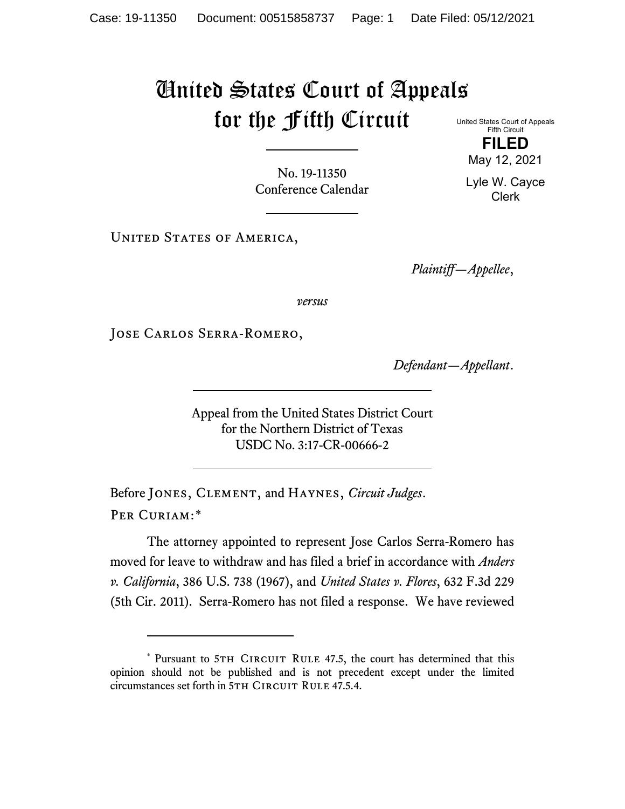## United States Court of Appeals for the Fifth Circuit

United States Court of Appeals Fifth Circuit **FILED**

No. 19-11350 Conference Calendar

UNITED STATES OF AMERICA,

*Plaintiff—Appellee*,

*versus*

Jose Carlos Serra-Romero,

*Defendant—Appellant*.

Appeal from the United States District Court for the Northern District of Texas USDC No. 3:17-CR-00666-2

Before Jones, Clement, and Haynes, *Circuit Judges*. Per Curiam:[\\*](#page-0-0)

The attorney appointed to represent Jose Carlos Serra-Romero has moved for leave to withdraw and has filed a brief in accordance with *Anders v. California*, 386 U.S. 738 (1967), and *United States v. Flores*, 632 F.3d 229 (5th Cir. 2011). Serra-Romero has not filed a response. We have reviewed

May 12, 2021 Lyle W. Cayce

Clerk

<span id="page-0-0"></span><sup>\*</sup> Pursuant to 5TH CIRCUIT RULE 47.5, the court has determined that this opinion should not be published and is not precedent except under the limited circumstances set forth in 5TH CIRCUIT RULE 47.5.4.